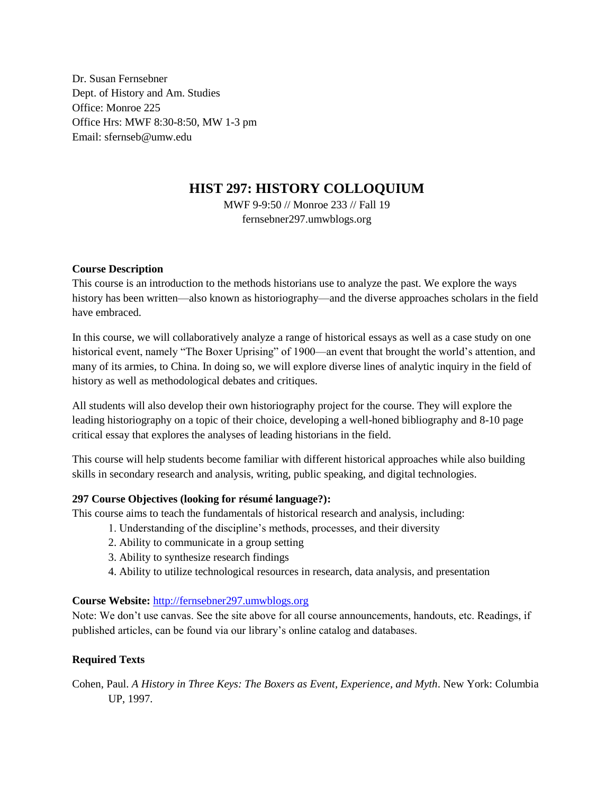Dr. Susan Fernsebner Dept. of History and Am. Studies Office: Monroe 225 Office Hrs: MWF 8:30-8:50, MW 1-3 pm Email: sfernseb@umw.edu

# **HIST 297: HISTORY COLLOQUIUM**

MWF 9-9:50 // Monroe 233 // Fall 19 fernsebner297.umwblogs.org

## **Course Description**

This course is an introduction to the methods historians use to analyze the past. We explore the ways history has been written—also known as historiography—and the diverse approaches scholars in the field have embraced.

In this course, we will collaboratively analyze a range of historical essays as well as a case study on one historical event, namely "The Boxer Uprising" of 1900—an event that brought the world's attention, and many of its armies, to China. In doing so, we will explore diverse lines of analytic inquiry in the field of history as well as methodological debates and critiques.

All students will also develop their own historiography project for the course. They will explore the leading historiography on a topic of their choice, developing a well-honed bibliography and 8-10 page critical essay that explores the analyses of leading historians in the field.

This course will help students become familiar with different historical approaches while also building skills in secondary research and analysis, writing, public speaking, and digital technologies.

# **297 Course Objectives (looking for résumé language?):**

This course aims to teach the fundamentals of historical research and analysis, including:

- 1. Understanding of the discipline's methods, processes, and their diversity
- 2. Ability to communicate in a group setting
- 3. Ability to synthesize research findings
- 4. Ability to utilize technological resources in research, data analysis, and presentation

## **Course Website:** [http://fernsebner297.umwblogs.org](http://fernsebner297.umwblogs.org/)

Note: We don't use canvas. See the site above for all course announcements, handouts, etc. Readings, if published articles, can be found via our library's online catalog and databases.

# **Required Texts**

Cohen, Paul. *A History in Three Keys: The Boxers as Event, Experience, and Myth*. New York: Columbia UP, 1997.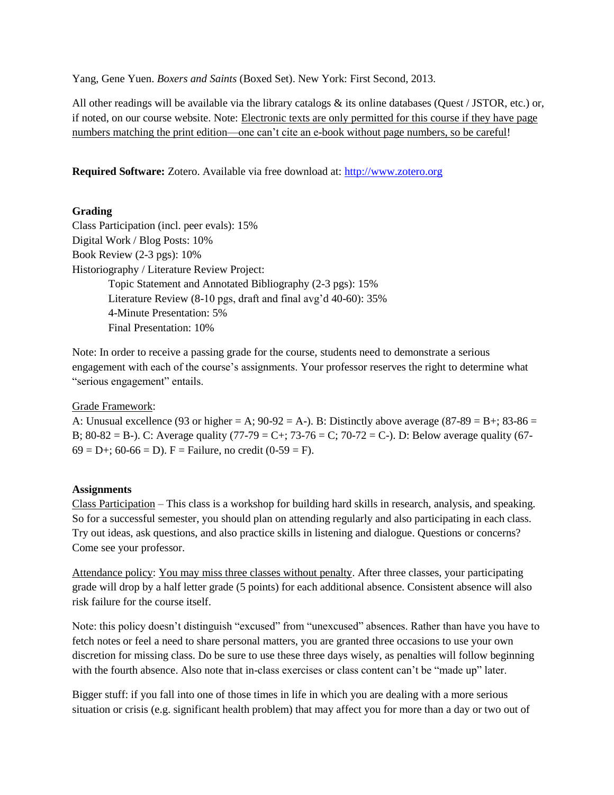Yang, Gene Yuen. *Boxers and Saints* (Boxed Set). New York: First Second, 2013.

All other readings will be available via the library catalogs & its online databases (Quest / JSTOR, etc.) or, if noted, on our course website. Note: Electronic texts are only permitted for this course if they have page numbers matching the print edition—one can't cite an e-book without page numbers, so be careful!

**Required Software:** Zotero. Available via free download at: [http://www.zotero.org](http://www.zotero.org/)

# **Grading**

Class Participation (incl. peer evals): 15% Digital Work / Blog Posts: 10% Book Review (2-3 pgs): 10% Historiography / Literature Review Project: Topic Statement and Annotated Bibliography (2-3 pgs): 15% Literature Review (8-10 pgs, draft and final avg'd 40-60): 35% 4-Minute Presentation: 5% Final Presentation: 10%

Note: In order to receive a passing grade for the course, students need to demonstrate a serious engagement with each of the course's assignments. Your professor reserves the right to determine what "serious engagement" entails.

## Grade Framework:

A: Unusual excellence (93 or higher = A;  $90-92 = A$ ). B: Distinctly above average (87-89 = B+; 83-86 = B; 80-82 = B-). C: Average quality  $(77-79 = C+)$ ;  $73-76 = C$ ;  $70-72 = C$ -). D: Below average quality (67- $69 = D +$ ;  $60 - 66 = D$ ). F = Failure, no credit  $(0 - 59 = F)$ .

## **Assignments**

Class Participation – This class is a workshop for building hard skills in research, analysis, and speaking. So for a successful semester, you should plan on attending regularly and also participating in each class. Try out ideas, ask questions, and also practice skills in listening and dialogue. Questions or concerns? Come see your professor.

Attendance policy: You may miss three classes without penalty. After three classes, your participating grade will drop by a half letter grade (5 points) for each additional absence. Consistent absence will also risk failure for the course itself.

Note: this policy doesn't distinguish "excused" from "unexcused" absences. Rather than have you have to fetch notes or feel a need to share personal matters, you are granted three occasions to use your own discretion for missing class. Do be sure to use these three days wisely, as penalties will follow beginning with the fourth absence. Also note that in-class exercises or class content can't be "made up" later.

Bigger stuff: if you fall into one of those times in life in which you are dealing with a more serious situation or crisis (e.g. significant health problem) that may affect you for more than a day or two out of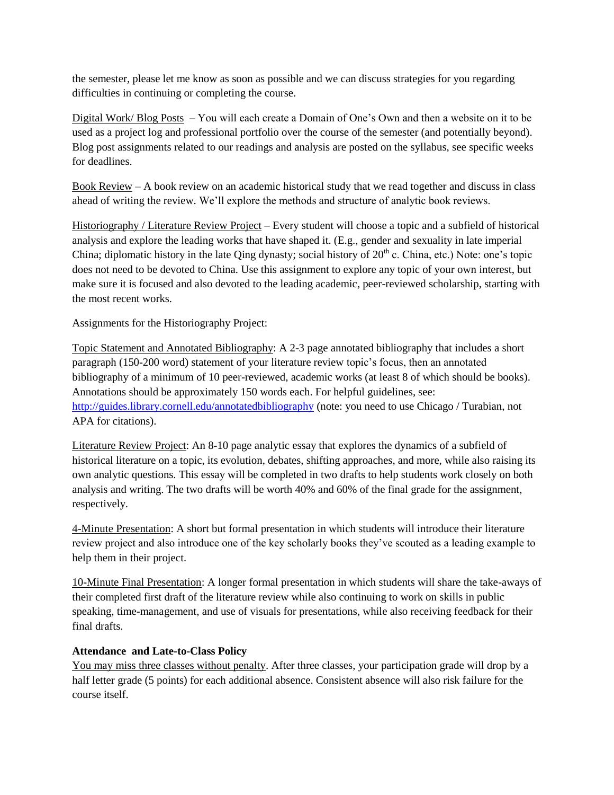the semester, please let me know as soon as possible and we can discuss strategies for you regarding difficulties in continuing or completing the course.

Digital Work/ Blog Posts – You will each create a Domain of One's Own and then a website on it to be used as a project log and professional portfolio over the course of the semester (and potentially beyond). Blog post assignments related to our readings and analysis are posted on the syllabus, see specific weeks for deadlines.

Book Review – A book review on an academic historical study that we read together and discuss in class ahead of writing the review. We'll explore the methods and structure of analytic book reviews.

Historiography / Literature Review Project – Every student will choose a topic and a subfield of historical analysis and explore the leading works that have shaped it. (E.g., gender and sexuality in late imperial China; diplomatic history in the late Oing dynasty; social history of  $20<sup>th</sup>$  c. China, etc.) Note: one's topic does not need to be devoted to China. Use this assignment to explore any topic of your own interest, but make sure it is focused and also devoted to the leading academic, peer-reviewed scholarship, starting with the most recent works.

Assignments for the Historiography Project:

Topic Statement and Annotated Bibliography: A 2-3 page annotated bibliography that includes a short paragraph (150-200 word) statement of your literature review topic's focus, then an annotated bibliography of a minimum of 10 peer-reviewed, academic works (at least 8 of which should be books). Annotations should be approximately 150 words each. For helpful guidelines, see: <http://guides.library.cornell.edu/annotatedbibliography> (note: you need to use Chicago / Turabian, not APA for citations).

Literature Review Project: An 8-10 page analytic essay that explores the dynamics of a subfield of historical literature on a topic, its evolution, debates, shifting approaches, and more, while also raising its own analytic questions. This essay will be completed in two drafts to help students work closely on both analysis and writing. The two drafts will be worth 40% and 60% of the final grade for the assignment, respectively.

4-Minute Presentation: A short but formal presentation in which students will introduce their literature review project and also introduce one of the key scholarly books they've scouted as a leading example to help them in their project.

10-Minute Final Presentation: A longer formal presentation in which students will share the take-aways of their completed first draft of the literature review while also continuing to work on skills in public speaking, time-management, and use of visuals for presentations, while also receiving feedback for their final drafts.

# **Attendance and Late-to-Class Policy**

You may miss three classes without penalty. After three classes, your participation grade will drop by a half letter grade (5 points) for each additional absence. Consistent absence will also risk failure for the course itself.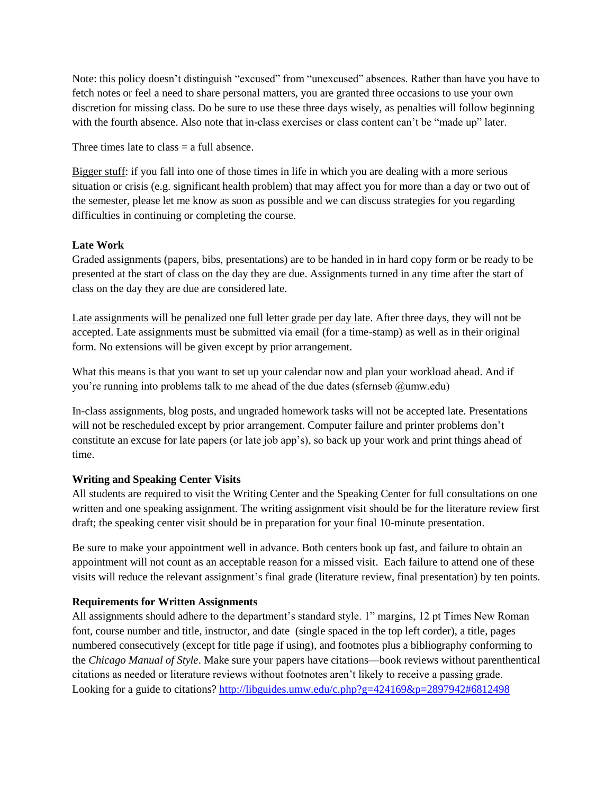Note: this policy doesn't distinguish "excused" from "unexcused" absences. Rather than have you have to fetch notes or feel a need to share personal matters, you are granted three occasions to use your own discretion for missing class. Do be sure to use these three days wisely, as penalties will follow beginning with the fourth absence. Also note that in-class exercises or class content can't be "made up" later.

Three times late to class  $=$  a full absence.

Bigger stuff: if you fall into one of those times in life in which you are dealing with a more serious situation or crisis (e.g. significant health problem) that may affect you for more than a day or two out of the semester, please let me know as soon as possible and we can discuss strategies for you regarding difficulties in continuing or completing the course.

# **Late Work**

Graded assignments (papers, bibs, presentations) are to be handed in in hard copy form or be ready to be presented at the start of class on the day they are due. Assignments turned in any time after the start of class on the day they are due are considered late.

Late assignments will be penalized one full letter grade per day late. After three days, they will not be accepted. Late assignments must be submitted via email (for a time-stamp) as well as in their original form. No extensions will be given except by prior arrangement.

What this means is that you want to set up your calendar now and plan your workload ahead. And if you're running into problems talk to me ahead of the due dates (sfernseb @umw.edu)

In-class assignments, blog posts, and ungraded homework tasks will not be accepted late. Presentations will not be rescheduled except by prior arrangement. Computer failure and printer problems don't constitute an excuse for late papers (or late job app's), so back up your work and print things ahead of time.

# **Writing and Speaking Center Visits**

All students are required to visit the Writing Center and the Speaking Center for full consultations on one written and one speaking assignment. The writing assignment visit should be for the literature review first draft; the speaking center visit should be in preparation for your final 10-minute presentation.

Be sure to make your appointment well in advance. Both centers book up fast, and failure to obtain an appointment will not count as an acceptable reason for a missed visit. Each failure to attend one of these visits will reduce the relevant assignment's final grade (literature review, final presentation) by ten points.

# **Requirements for Written Assignments**

All assignments should adhere to the department's standard style. 1" margins, 12 pt Times New Roman font, course number and title, instructor, and date (single spaced in the top left corder), a title, pages numbered consecutively (except for title page if using), and footnotes plus a bibliography conforming to the *Chicago Manual of Style*. Make sure your papers have citations—book reviews without parenthentical citations as needed or literature reviews without footnotes aren't likely to receive a passing grade. Looking for a guide to citations[? http://libguides.umw.edu/c.php?g=424169&p=2897942#6812498](http://libguides.umw.edu/c.php?g=424169&p=2897942#6812498)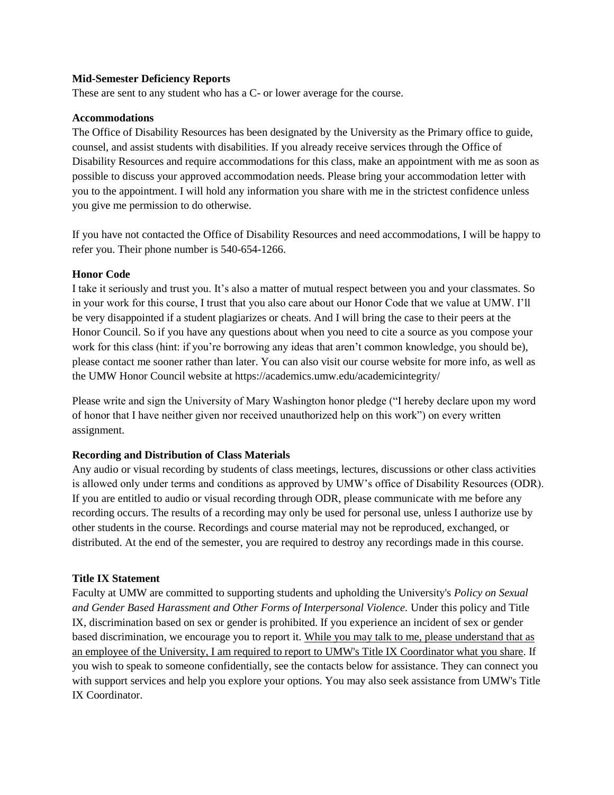#### **Mid-Semester Deficiency Reports**

These are sent to any student who has a C- or lower average for the course.

## **Accommodations**

The Office of Disability Resources has been designated by the University as the Primary office to guide, counsel, and assist students with disabilities. If you already receive services through the Office of Disability Resources and require accommodations for this class, make an appointment with me as soon as possible to discuss your approved accommodation needs. Please bring your accommodation letter with you to the appointment. I will hold any information you share with me in the strictest confidence unless you give me permission to do otherwise.

If you have not contacted the Office of Disability Resources and need accommodations, I will be happy to refer you. Their phone number is 540-654-1266.

#### **Honor Code**

I take it seriously and trust you. It's also a matter of mutual respect between you and your classmates. So in your work for this course, I trust that you also care about our Honor Code that we value at UMW. I'll be very disappointed if a student plagiarizes or cheats. And I will bring the case to their peers at the Honor Council. So if you have any questions about when you need to cite a source as you compose your work for this class (hint: if you're borrowing any ideas that aren't common knowledge, you should be), please contact me sooner rather than later. You can also visit our course website for more info, as well as the UMW Honor Council website at https://academics.umw.edu/academicintegrity/

Please write and sign the University of Mary Washington honor pledge ("I hereby declare upon my word of honor that I have neither given nor received unauthorized help on this work") on every written assignment.

## **Recording and Distribution of Class Materials**

Any audio or visual recording by students of class meetings, lectures, discussions or other class activities is allowed only under terms and conditions as approved by UMW's office of Disability Resources (ODR). If you are entitled to audio or visual recording through ODR, please communicate with me before any recording occurs. The results of a recording may only be used for personal use, unless I authorize use by other students in the course. Recordings and course material may not be reproduced, exchanged, or distributed. At the end of the semester, you are required to destroy any recordings made in this course.

## **Title IX Statement**

Faculty at UMW are committed to supporting students and upholding the University's *Policy on Sexual and Gender Based Harassment and Other Forms of Interpersonal Violence.* Under this policy and Title IX, discrimination based on sex or gender is prohibited. If you experience an incident of sex or gender based discrimination, we encourage you to report it. While you may talk to me, please understand that as an employee of the University, I am required to report to UMW's Title IX Coordinator what you share. If you wish to speak to someone confidentially, see the contacts below for assistance. They can connect you with support services and help you explore your options. You may also seek assistance from UMW's Title IX Coordinator.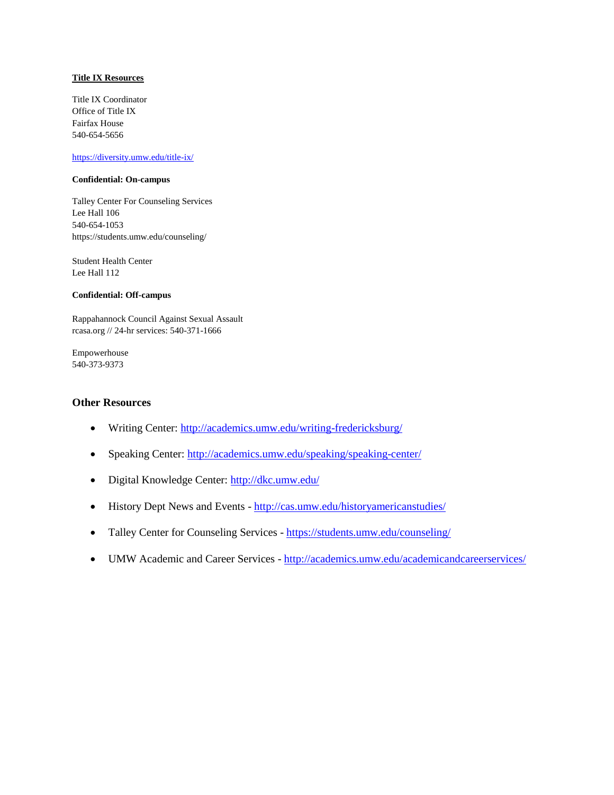#### **Title IX Resources**

Title IX Coordinator Office of Title IX Fairfax House 540-654-5656

#### <https://diversity.umw.edu/title-ix/>

#### **Confidential: On-campus**

Talley Center For Counseling Services Lee Hall 106 540-654-1053 https://students.umw.edu/counseling/

Student Health Center Lee Hall 112

#### **Confidential: Off-campus**

Rappahannock Council Against Sexual Assault rcasa.org // 24-hr services: 540-371-1666

Empowerhouse 540-373-9373

#### **Other Resources**

- Writing Center:<http://academics.umw.edu/writing-fredericksburg/>
- Speaking Center:<http://academics.umw.edu/speaking/speaking-center/>
- Digital Knowledge Center:<http://dkc.umw.edu/>
- History Dept News and Events <http://cas.umw.edu/historyamericanstudies/>
- Talley Center for Counseling Services <https://students.umw.edu/counseling/>
- UMW Academic and Career Services <http://academics.umw.edu/academicandcareerservices/>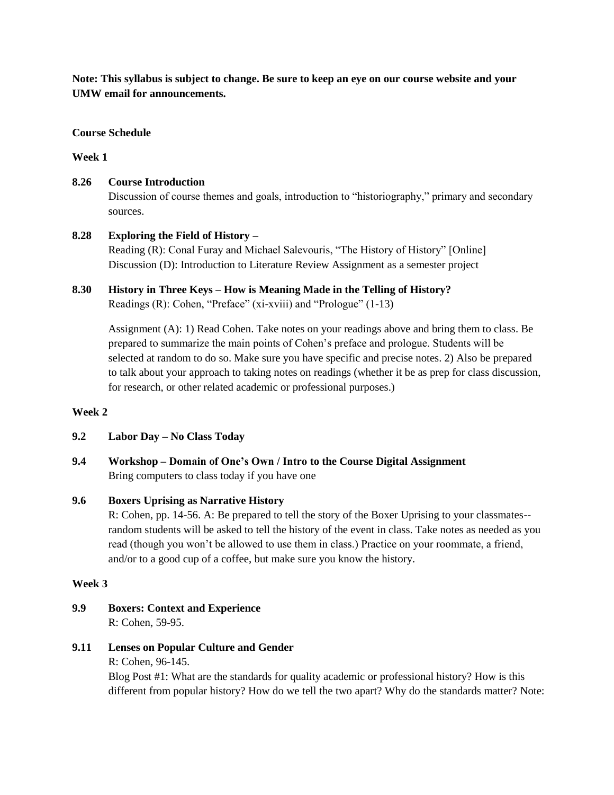**Note: This syllabus is subject to change. Be sure to keep an eye on our course website and your UMW email for announcements.**

### **Course Schedule**

#### **Week 1**

**8.26 Course Introduction**

Discussion of course themes and goals, introduction to "historiography," primary and secondary sources.

# **8.28 Exploring the Field of History –**

Reading (R): Conal Furay and Michael Salevouris, "The History of History" [Online] Discussion (D): Introduction to Literature Review Assignment as a semester project

## **8.30 History in Three Keys – How is Meaning Made in the Telling of History?** Readings (R): Cohen, "Preface" (xi-xviii) and "Prologue" (1-13)

Assignment (A): 1) Read Cohen. Take notes on your readings above and bring them to class. Be prepared to summarize the main points of Cohen's preface and prologue. Students will be selected at random to do so. Make sure you have specific and precise notes. 2) Also be prepared to talk about your approach to taking notes on readings (whether it be as prep for class discussion, for research, or other related academic or professional purposes.)

#### **Week 2**

- **9.2 Labor Day – No Class Today**
- **9.4 Workshop – Domain of One's Own / Intro to the Course Digital Assignment** Bring computers to class today if you have one

## **9.6 Boxers Uprising as Narrative History**

R: Cohen, pp. 14-56. A: Be prepared to tell the story of the Boxer Uprising to your classmates- random students will be asked to tell the history of the event in class. Take notes as needed as you read (though you won't be allowed to use them in class.) Practice on your roommate, a friend, and/or to a good cup of a coffee, but make sure you know the history.

#### **Week 3**

- **9.9 Boxers: Context and Experience** R: Cohen, 59-95.
- **9.11 Lenses on Popular Culture and Gender**
	- R: Cohen, 96-145.

Blog Post #1: What are the standards for quality academic or professional history? How is this different from popular history? How do we tell the two apart? Why do the standards matter? Note: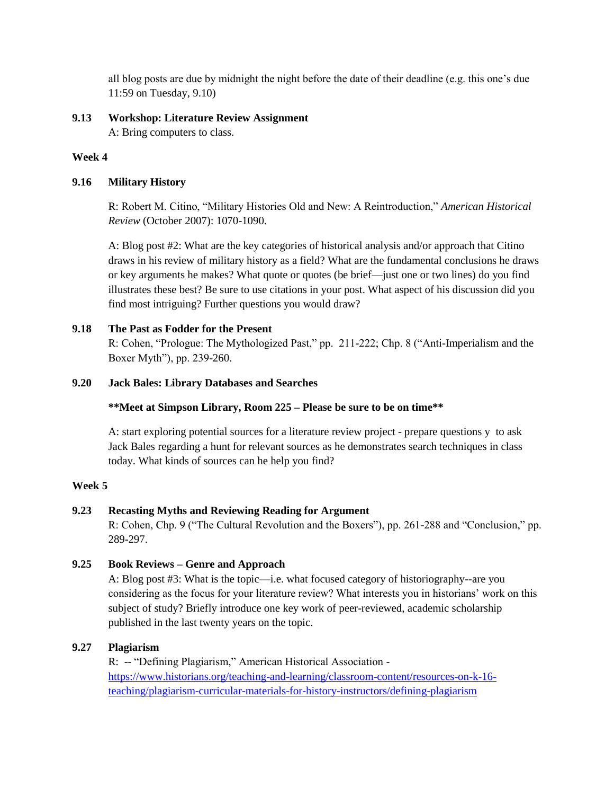all blog posts are due by midnight the night before the date of their deadline (e.g. this one's due 11:59 on Tuesday, 9.10)

# **9.13 Workshop: Literature Review Assignment**

A: Bring computers to class.

# **Week 4**

# **9.16 Military History**

R: Robert M. Citino, "Military Histories Old and New: A Reintroduction," *American Historical Review* (October 2007): 1070-1090.

A: Blog post #2: What are the key categories of historical analysis and/or approach that Citino draws in his review of military history as a field? What are the fundamental conclusions he draws or key arguments he makes? What quote or quotes (be brief—just one or two lines) do you find illustrates these best? Be sure to use citations in your post. What aspect of his discussion did you find most intriguing? Further questions you would draw?

# **9.18 The Past as Fodder for the Present**

R: Cohen, "Prologue: The Mythologized Past," pp. 211-222; Chp. 8 ("Anti-Imperialism and the Boxer Myth"), pp. 239-260.

# **9.20 Jack Bales: Library Databases and Searches**

# **\*\*Meet at Simpson Library, Room 225 – Please be sure to be on time\*\***

A: start exploring potential sources for a literature review project - prepare questions y to ask Jack Bales regarding a hunt for relevant sources as he demonstrates search techniques in class today. What kinds of sources can he help you find?

# **Week 5**

# **9.23 Recasting Myths and Reviewing Reading for Argument**

R: Cohen, Chp. 9 ("The Cultural Revolution and the Boxers"), pp. 261-288 and "Conclusion," pp. 289-297.

# **9.25 Book Reviews – Genre and Approach**

A: Blog post #3: What is the topic—i.e. what focused category of historiography--are you considering as the focus for your literature review? What interests you in historians' work on this subject of study? Briefly introduce one key work of peer-reviewed, academic scholarship published in the last twenty years on the topic.

# **9.27 Plagiarism**

R: -- "Defining Plagiarism," American Historical Association [https://www.historians.org/teaching-and-learning/classroom-content/resources-on-k-16](https://www.historians.org/teaching-and-learning/classroom-content/resources-on-k-16-teaching/plagiarism-curricular-materials-for-history-instructors/defining-plagiarism) [teaching/plagiarism-curricular-materials-for-history-instructors/defining-plagiarism](https://www.historians.org/teaching-and-learning/classroom-content/resources-on-k-16-teaching/plagiarism-curricular-materials-for-history-instructors/defining-plagiarism)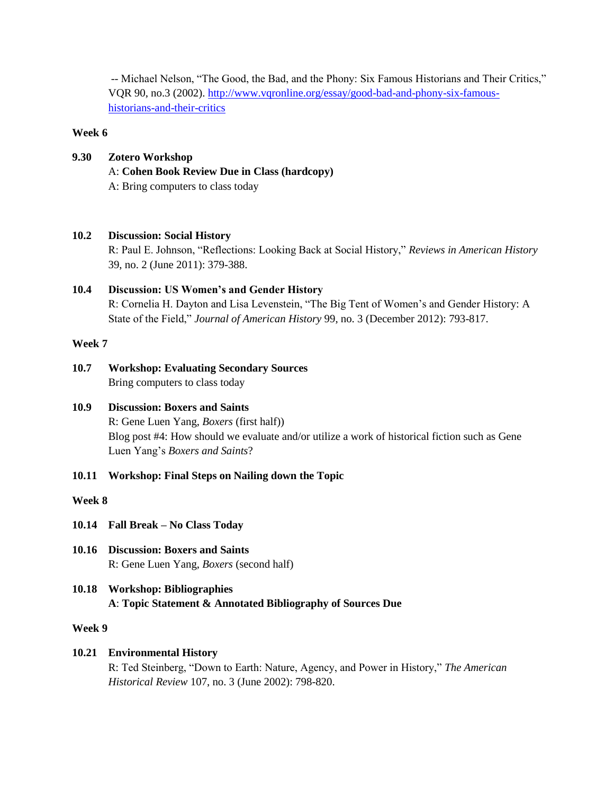-- Michael Nelson, "The Good, the Bad, and the Phony: Six Famous Historians and Their Critics," VQR 90, no.3 (2002). [http://www.vqronline.org/essay/good-bad-and-phony-six-famous](http://www.vqronline.org/essay/good-bad-and-phony-six-famous-historians-and-their-critics)[historians-and-their-critics](http://www.vqronline.org/essay/good-bad-and-phony-six-famous-historians-and-their-critics)

## **Week 6**

**9.30 Zotero Workshop** A: **Cohen Book Review Due in Class (hardcopy)** A: Bring computers to class today

# **10.2 Discussion: Social History**

R: Paul E. Johnson, "Reflections: Looking Back at Social History," *Reviews in American History* 39, no. 2 (June 2011): 379-388.

# **10.4 Discussion: US Women's and Gender History**

R: Cornelia H. Dayton and Lisa Levenstein, "The Big Tent of Women's and Gender History: A State of the Field," *Journal of American History* 99, no. 3 (December 2012): 793-817.

## **Week 7**

**10.7 Workshop: Evaluating Secondary Sources** Bring computers to class today

# **10.9 Discussion: Boxers and Saints** R: Gene Luen Yang, *Boxers* (first half)) Blog post #4: How should we evaluate and/or utilize a work of historical fiction such as Gene Luen Yang's *Boxers and Saints*?

**10.11 Workshop: Final Steps on Nailing down the Topic**

## **Week 8**

- **10.14 Fall Break – No Class Today**
- **10.16 Discussion: Boxers and Saints** R: Gene Luen Yang, *Boxers* (second half)
- **10.18 Workshop: Bibliographies A**: **Topic Statement & Annotated Bibliography of Sources Due**

## **Week 9**

# **10.21 Environmental History**

R: Ted Steinberg, "Down to Earth: Nature, Agency, and Power in History," *The American Historical Review* 107, no. 3 (June 2002): 798-820.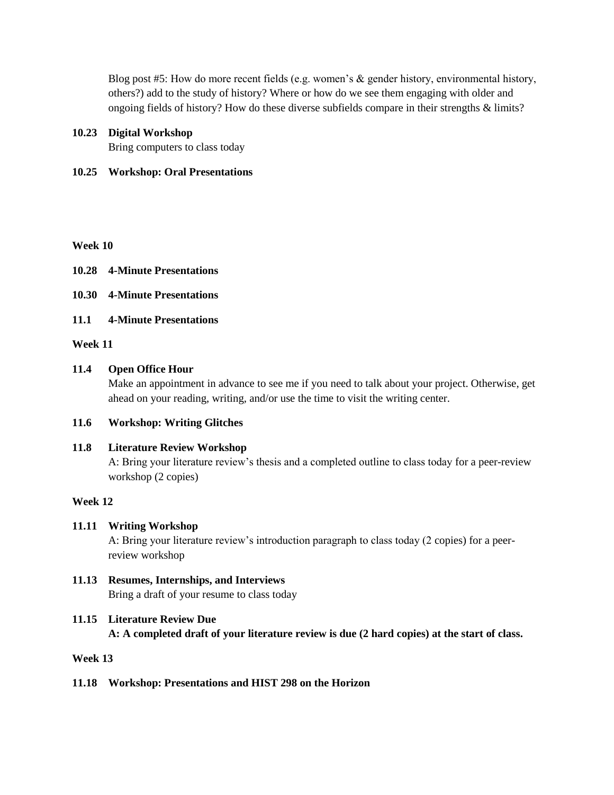Blog post #5: How do more recent fields (e.g. women's & gender history, environmental history, others?) add to the study of history? Where or how do we see them engaging with older and ongoing fields of history? How do these diverse subfields compare in their strengths & limits?

## **10.23 Digital Workshop**

Bring computers to class today

# **10.25 Workshop: Oral Presentations**

## **Week 10**

- **10.28 4-Minute Presentations**
- **10.30 4-Minute Presentations**
- **11.1 4-Minute Presentations**

## **Week 11**

## **11.4 Open Office Hour**

Make an appointment in advance to see me if you need to talk about your project. Otherwise, get ahead on your reading, writing, and/or use the time to visit the writing center.

## **11.6 Workshop: Writing Glitches**

## **11.8 Literature Review Workshop**

A: Bring your literature review's thesis and a completed outline to class today for a peer-review workshop (2 copies)

## **Week 12**

# **11.11 Writing Workshop**

A: Bring your literature review's introduction paragraph to class today (2 copies) for a peerreview workshop

**11.13 Resumes, Internships, and Interviews** Bring a draft of your resume to class today

# **11.15 Literature Review Due**

## **A: A completed draft of your literature review is due (2 hard copies) at the start of class.**

## **Week 13**

# **11.18 Workshop: Presentations and HIST 298 on the Horizon**